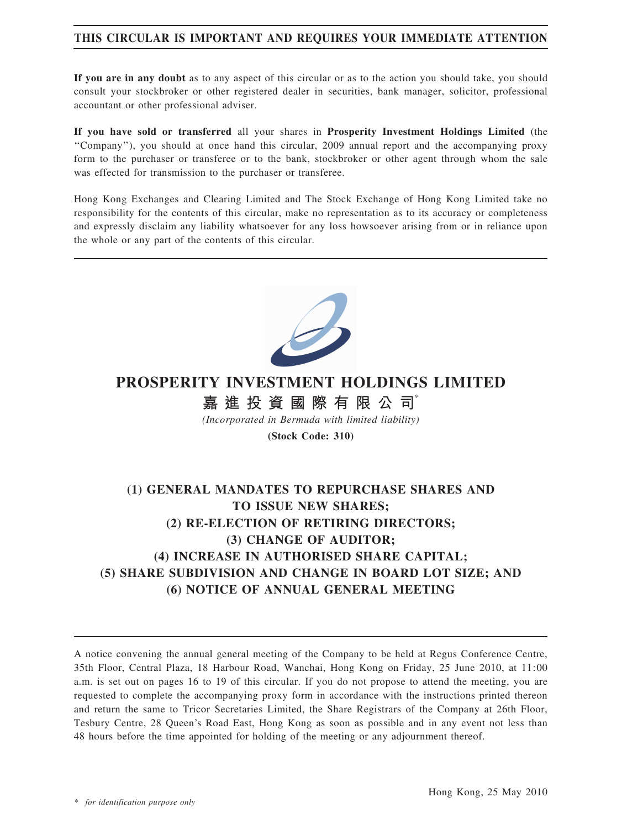## THIS CIRCULAR IS IMPORTANT AND REQUIRES YOUR IMMEDIATE ATTENTION

If you are in any doubt as to any aspect of this circular or as to the action you should take, you should consult your stockbroker or other registered dealer in securities, bank manager, solicitor, professional accountant or other professional adviser.

If you have sold or transferred all your shares in Prosperity Investment Holdings Limited (the ''Company''), you should at once hand this circular, 2009 annual report and the accompanying proxy form to the purchaser or transferee or to the bank, stockbroker or other agent through whom the sale was effected for transmission to the purchaser or transferee.

Hong Kong Exchanges and Clearing Limited and The Stock Exchange of Hong Kong Limited take no responsibility for the contents of this circular, make no representation as to its accuracy or completeness and expressly disclaim any liability whatsoever for any loss howsoever arising from or in reliance upon the whole or any part of the contents of this circular.



# PROSPERITY INVESTMENT HOLDINGS LIMITED

# 嘉 進 投 資 國 際 有 限 公 司

(Incorporated in Bermuda with limited liability)

(Stock Code: 310)

# (1) GENERAL MANDATES TO REPURCHASE SHARES AND TO ISSUE NEW SHARES; (2) RE-ELECTION OF RETIRING DIRECTORS; (3) CHANGE OF AUDITOR; (4) INCREASE IN AUTHORISED SHARE CAPITAL; (5) SHARE SUBDIVISION AND CHANGE IN BOARD LOT SIZE; AND (6) NOTICE OF ANNUAL GENERAL MEETING

A notice convening the annual general meeting of the Company to be held at Regus Conference Centre, 35th Floor, Central Plaza, 18 Harbour Road, Wanchai, Hong Kong on Friday, 25 June 2010, at 11:00 a.m. is set out on pages 16 to 19 of this circular. If you do not propose to attend the meeting, you are requested to complete the accompanying proxy form in accordance with the instructions printed thereon and return the same to Tricor Secretaries Limited, the Share Registrars of the Company at 26th Floor, Tesbury Centre, 28 Queen's Road East, Hong Kong as soon as possible and in any event not less than 48 hours before the time appointed for holding of the meeting or any adjournment thereof.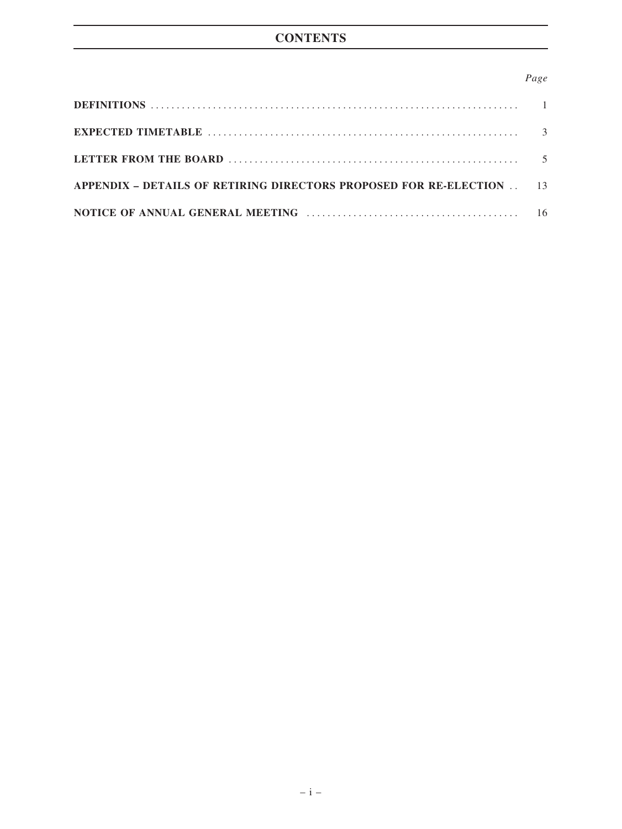### Page

| APPENDIX – DETAILS OF RETIRING DIRECTORS PROPOSED FOR RE-ELECTION 13 |  |
|----------------------------------------------------------------------|--|
|                                                                      |  |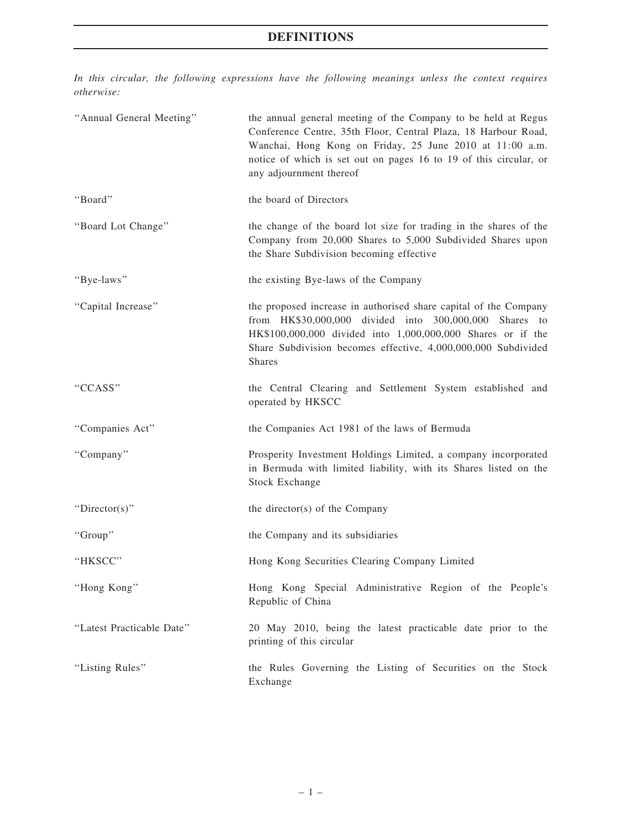# DEFINITIONS

In this circular, the following expressions have the following meanings unless the context requires otherwise:

| "Annual General Meeting"  | the annual general meeting of the Company to be held at Regus<br>Conference Centre, 35th Floor, Central Plaza, 18 Harbour Road,<br>Wanchai, Hong Kong on Friday, 25 June 2010 at 11:00 a.m.<br>notice of which is set out on pages 16 to 19 of this circular, or<br>any adjournment thereof |
|---------------------------|---------------------------------------------------------------------------------------------------------------------------------------------------------------------------------------------------------------------------------------------------------------------------------------------|
| "Board"                   | the board of Directors                                                                                                                                                                                                                                                                      |
| "Board Lot Change"        | the change of the board lot size for trading in the shares of the<br>Company from 20,000 Shares to 5,000 Subdivided Shares upon<br>the Share Subdivision becoming effective                                                                                                                 |
| "Bye-laws"                | the existing Bye-laws of the Company                                                                                                                                                                                                                                                        |
| "Capital Increase"        | the proposed increase in authorised share capital of the Company<br>from HK\$30,000,000 divided into 300,000,000 Shares to<br>HK\$100,000,000 divided into 1,000,000,000 Shares or if the<br>Share Subdivision becomes effective, 4,000,000,000 Subdivided<br><b>Shares</b>                 |
| "CCASS"                   | the Central Clearing and Settlement System established and<br>operated by HKSCC                                                                                                                                                                                                             |
| "Companies Act"           | the Companies Act 1981 of the laws of Bermuda                                                                                                                                                                                                                                               |
| "Company"                 | Prosperity Investment Holdings Limited, a company incorporated<br>in Bermuda with limited liability, with its Shares listed on the<br><b>Stock Exchange</b>                                                                                                                                 |
| "Director(s)"             | the director(s) of the Company                                                                                                                                                                                                                                                              |
| "Group"                   | the Company and its subsidiaries                                                                                                                                                                                                                                                            |
| "HKSCC"                   | Hong Kong Securities Clearing Company Limited                                                                                                                                                                                                                                               |
| "Hong Kong"               | Hong Kong Special Administrative Region of the People's<br>Republic of China                                                                                                                                                                                                                |
| "Latest Practicable Date" | 20 May 2010, being the latest practicable date prior to the<br>printing of this circular                                                                                                                                                                                                    |
| "Listing Rules"           | the Rules Governing the Listing of Securities on the Stock<br>Exchange                                                                                                                                                                                                                      |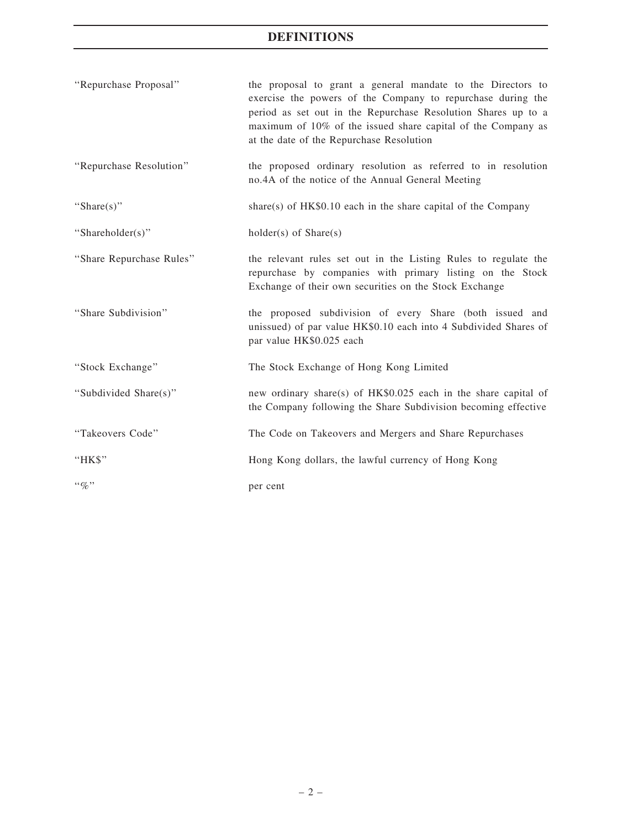# DEFINITIONS

| "Repurchase Proposal"    | the proposal to grant a general mandate to the Directors to<br>exercise the powers of the Company to repurchase during the<br>period as set out in the Repurchase Resolution Shares up to a<br>maximum of 10% of the issued share capital of the Company as<br>at the date of the Repurchase Resolution |
|--------------------------|---------------------------------------------------------------------------------------------------------------------------------------------------------------------------------------------------------------------------------------------------------------------------------------------------------|
| "Repurchase Resolution"  | the proposed ordinary resolution as referred to in resolution<br>no.4A of the notice of the Annual General Meeting                                                                                                                                                                                      |
| "Share $(s)$ "           | share(s) of $HK$0.10$ each in the share capital of the Company                                                                                                                                                                                                                                          |
| "Shareholder(s)"         | $holder(s)$ of $Share(s)$                                                                                                                                                                                                                                                                               |
| "Share Repurchase Rules" | the relevant rules set out in the Listing Rules to regulate the<br>repurchase by companies with primary listing on the Stock<br>Exchange of their own securities on the Stock Exchange                                                                                                                  |
| "Share Subdivision"      | the proposed subdivision of every Share (both issued and<br>unissued) of par value HK\$0.10 each into 4 Subdivided Shares of<br>par value HK\$0.025 each                                                                                                                                                |
| "Stock Exchange"         | The Stock Exchange of Hong Kong Limited                                                                                                                                                                                                                                                                 |
| "Subdivided Share(s)"    | new ordinary share(s) of HK\$0.025 each in the share capital of<br>the Company following the Share Subdivision becoming effective                                                                                                                                                                       |
| "Takeovers Code"         | The Code on Takeovers and Mergers and Share Repurchases                                                                                                                                                                                                                                                 |
| "HK\$"                   | Hong Kong dollars, the lawful currency of Hong Kong                                                                                                                                                                                                                                                     |
| $``\%"$                  | per cent                                                                                                                                                                                                                                                                                                |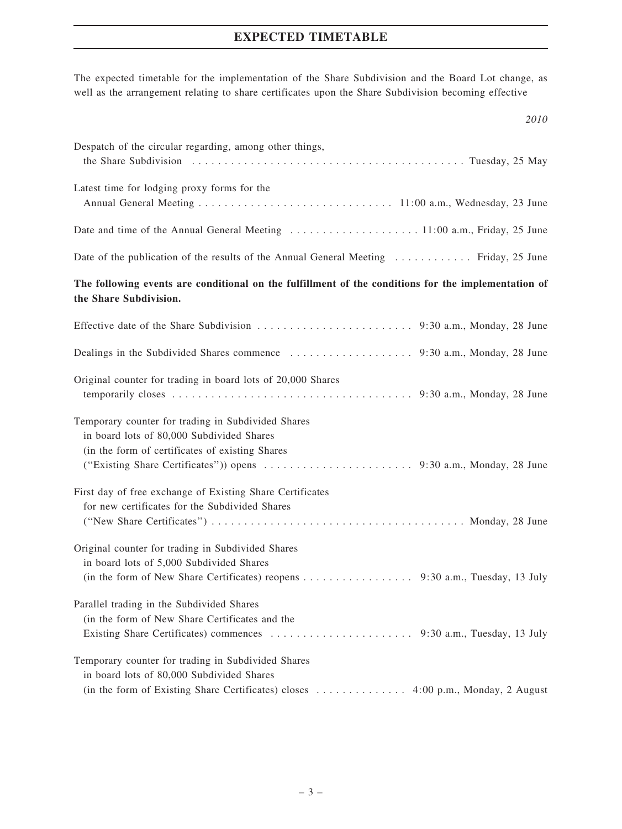## EXPECTED TIMETABLE

The expected timetable for the implementation of the Share Subdivision and the Board Lot change, as well as the arrangement relating to share certificates upon the Share Subdivision becoming effective

| 2010                                                                                                                                                                                                         |
|--------------------------------------------------------------------------------------------------------------------------------------------------------------------------------------------------------------|
| Despatch of the circular regarding, among other things,                                                                                                                                                      |
| Latest time for lodging proxy forms for the                                                                                                                                                                  |
| Date and time of the Annual General Meeting 11:00 a.m., Friday, 25 June                                                                                                                                      |
| Date of the publication of the results of the Annual General Meeting  Friday, 25 June                                                                                                                        |
| The following events are conditional on the fulfillment of the conditions for the implementation of<br>the Share Subdivision.                                                                                |
|                                                                                                                                                                                                              |
|                                                                                                                                                                                                              |
| Original counter for trading in board lots of 20,000 Shares                                                                                                                                                  |
| Temporary counter for trading in Subdivided Shares<br>in board lots of 80,000 Subdivided Shares<br>(in the form of certificates of existing Shares                                                           |
| First day of free exchange of Existing Share Certificates<br>for new certificates for the Subdivided Shares                                                                                                  |
| Original counter for trading in Subdivided Shares<br>in board lots of 5,000 Subdivided Shares<br>(in the form of New Share Certificates) reopens 9:30 a.m., Tuesday, 13 July                                 |
| Parallel trading in the Subdivided Shares<br>(in the form of New Share Certificates and the                                                                                                                  |
| Temporary counter for trading in Subdivided Shares<br>in board lots of 80,000 Subdivided Shares<br>(in the form of Existing Share Certificates) closes $\dots \dots \dots \dots$ 4:00 p.m., Monday, 2 August |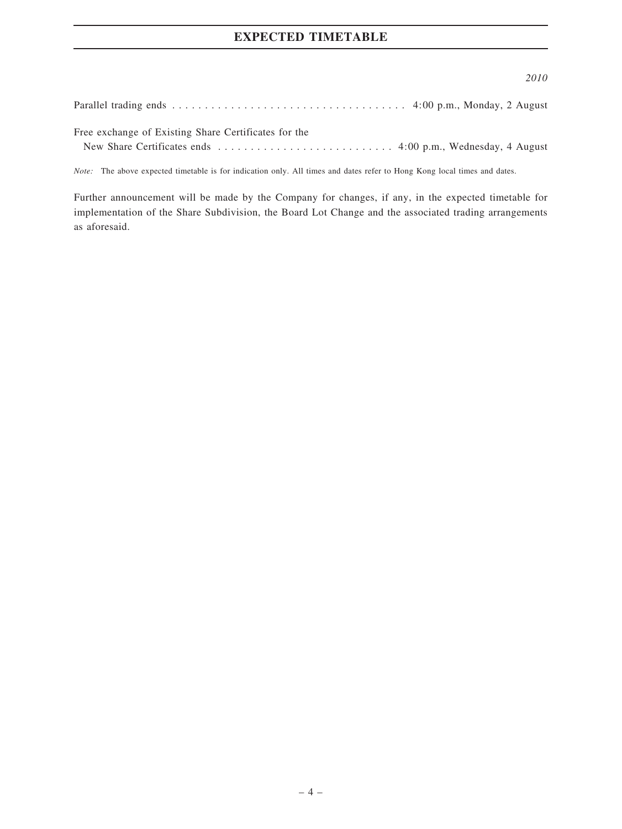## EXPECTED TIMETABLE

#### 2010

Parallel trading ends . . . . . . . . . . . . . . . . . . . . . . . . . . . . . . . . . . . . 4:00 p.m., Monday, 2 August

Free exchange of Existing Share Certificates for the

New Share Certificates ends . . . . . . . . . . . . . . . . . . . . . . . . . . . 4:00 p.m., Wednesday, 4 August

Note: The above expected timetable is for indication only. All times and dates refer to Hong Kong local times and dates.

Further announcement will be made by the Company for changes, if any, in the expected timetable for implementation of the Share Subdivision, the Board Lot Change and the associated trading arrangements as aforesaid.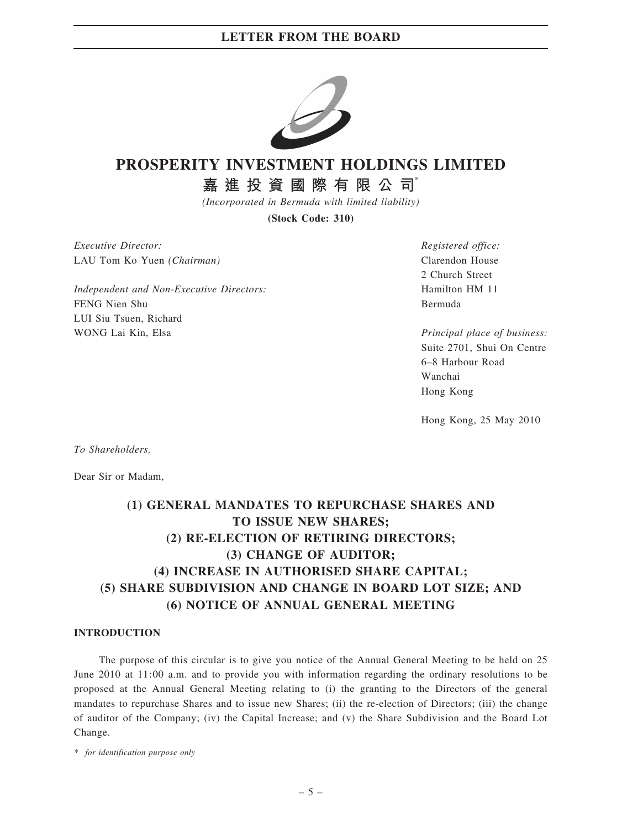

# PROSPERITY INVESTMENT HOLDINGS LIMITED

嘉 進 投 資 國 際 有 限 公 司

(Incorporated in Bermuda with limited liability)

(Stock Code: 310)

Executive Director: LAU Tom Ko Yuen (Chairman)

Independent and Non-Executive Directors: FENG Nien Shu LUI Siu Tsuen, Richard WONG Lai Kin, Elsa

Registered office: Clarendon House 2 Church Street Hamilton HM 11 Bermuda

Principal place of business: Suite 2701, Shui On Centre 6–8 Harbour Road Wanchai Hong Kong

Hong Kong, 25 May 2010

To Shareholders,

Dear Sir or Madam,

# (1) GENERAL MANDATES TO REPURCHASE SHARES AND TO ISSUE NEW SHARES; (2) RE-ELECTION OF RETIRING DIRECTORS; (3) CHANGE OF AUDITOR; (4) INCREASE IN AUTHORISED SHARE CAPITAL; (5) SHARE SUBDIVISION AND CHANGE IN BOARD LOT SIZE; AND (6) NOTICE OF ANNUAL GENERAL MEETING

#### INTRODUCTION

The purpose of this circular is to give you notice of the Annual General Meeting to be held on 25 June 2010 at 11:00 a.m. and to provide you with information regarding the ordinary resolutions to be proposed at the Annual General Meeting relating to (i) the granting to the Directors of the general mandates to repurchase Shares and to issue new Shares; (ii) the re-election of Directors; (iii) the change of auditor of the Company; (iv) the Capital Increase; and (v) the Share Subdivision and the Board Lot Change.

\* for identification purpose only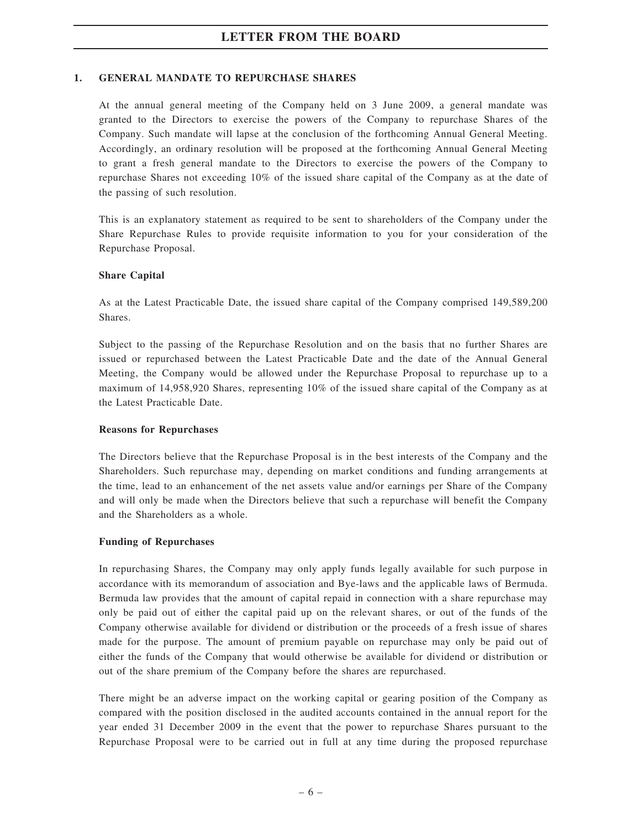### 1. GENERAL MANDATE TO REPURCHASE SHARES

At the annual general meeting of the Company held on 3 June 2009, a general mandate was granted to the Directors to exercise the powers of the Company to repurchase Shares of the Company. Such mandate will lapse at the conclusion of the forthcoming Annual General Meeting. Accordingly, an ordinary resolution will be proposed at the forthcoming Annual General Meeting to grant a fresh general mandate to the Directors to exercise the powers of the Company to repurchase Shares not exceeding 10% of the issued share capital of the Company as at the date of the passing of such resolution.

This is an explanatory statement as required to be sent to shareholders of the Company under the Share Repurchase Rules to provide requisite information to you for your consideration of the Repurchase Proposal.

### Share Capital

As at the Latest Practicable Date, the issued share capital of the Company comprised 149,589,200 Shares.

Subject to the passing of the Repurchase Resolution and on the basis that no further Shares are issued or repurchased between the Latest Practicable Date and the date of the Annual General Meeting, the Company would be allowed under the Repurchase Proposal to repurchase up to a maximum of 14,958,920 Shares, representing 10% of the issued share capital of the Company as at the Latest Practicable Date.

#### Reasons for Repurchases

The Directors believe that the Repurchase Proposal is in the best interests of the Company and the Shareholders. Such repurchase may, depending on market conditions and funding arrangements at the time, lead to an enhancement of the net assets value and/or earnings per Share of the Company and will only be made when the Directors believe that such a repurchase will benefit the Company and the Shareholders as a whole.

#### Funding of Repurchases

In repurchasing Shares, the Company may only apply funds legally available for such purpose in accordance with its memorandum of association and Bye-laws and the applicable laws of Bermuda. Bermuda law provides that the amount of capital repaid in connection with a share repurchase may only be paid out of either the capital paid up on the relevant shares, or out of the funds of the Company otherwise available for dividend or distribution or the proceeds of a fresh issue of shares made for the purpose. The amount of premium payable on repurchase may only be paid out of either the funds of the Company that would otherwise be available for dividend or distribution or out of the share premium of the Company before the shares are repurchased.

There might be an adverse impact on the working capital or gearing position of the Company as compared with the position disclosed in the audited accounts contained in the annual report for the year ended 31 December 2009 in the event that the power to repurchase Shares pursuant to the Repurchase Proposal were to be carried out in full at any time during the proposed repurchase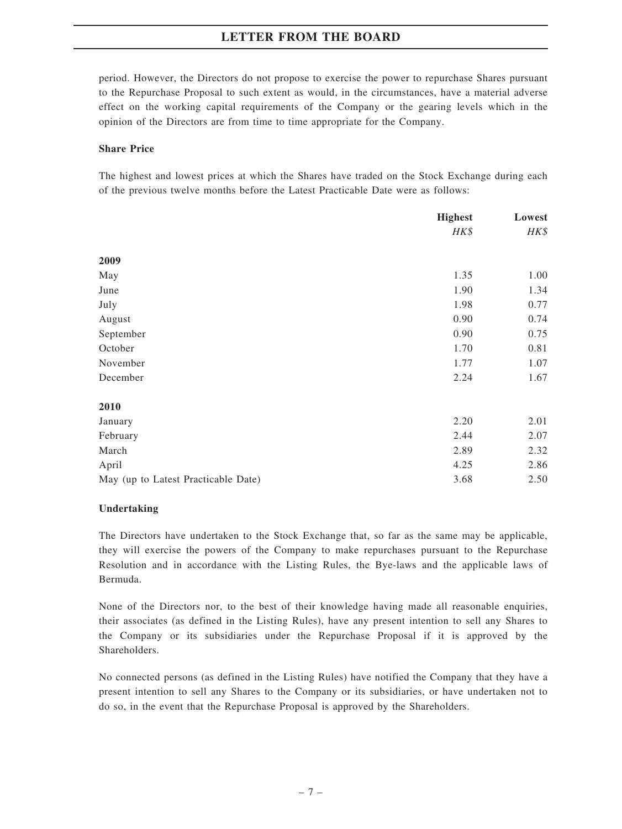period. However, the Directors do not propose to exercise the power to repurchase Shares pursuant to the Repurchase Proposal to such extent as would, in the circumstances, have a material adverse effect on the working capital requirements of the Company or the gearing levels which in the opinion of the Directors are from time to time appropriate for the Company.

#### Share Price

The highest and lowest prices at which the Shares have traded on the Stock Exchange during each of the previous twelve months before the Latest Practicable Date were as follows:

|                                     | <b>Highest</b> | Lowest<br>HK\$ |
|-------------------------------------|----------------|----------------|
|                                     | HK\$           |                |
| 2009                                |                |                |
| May                                 | 1.35           | 1.00           |
| June                                | 1.90           | 1.34           |
| July                                | 1.98           | 0.77           |
| August                              | 0.90           | 0.74           |
| September                           | 0.90           | 0.75           |
| October                             | 1.70           | 0.81           |
| November                            | 1.77           | 1.07           |
| December                            | 2.24           | 1.67           |
| 2010                                |                |                |
| January                             | 2.20           | 2.01           |
| February                            | 2.44           | 2.07           |
| March                               | 2.89           | 2.32           |
| April                               | 4.25           | 2.86           |
| May (up to Latest Practicable Date) | 3.68           | 2.50           |

#### Undertaking

The Directors have undertaken to the Stock Exchange that, so far as the same may be applicable, they will exercise the powers of the Company to make repurchases pursuant to the Repurchase Resolution and in accordance with the Listing Rules, the Bye-laws and the applicable laws of Bermuda.

None of the Directors nor, to the best of their knowledge having made all reasonable enquiries, their associates (as defined in the Listing Rules), have any present intention to sell any Shares to the Company or its subsidiaries under the Repurchase Proposal if it is approved by the Shareholders.

No connected persons (as defined in the Listing Rules) have notified the Company that they have a present intention to sell any Shares to the Company or its subsidiaries, or have undertaken not to do so, in the event that the Repurchase Proposal is approved by the Shareholders.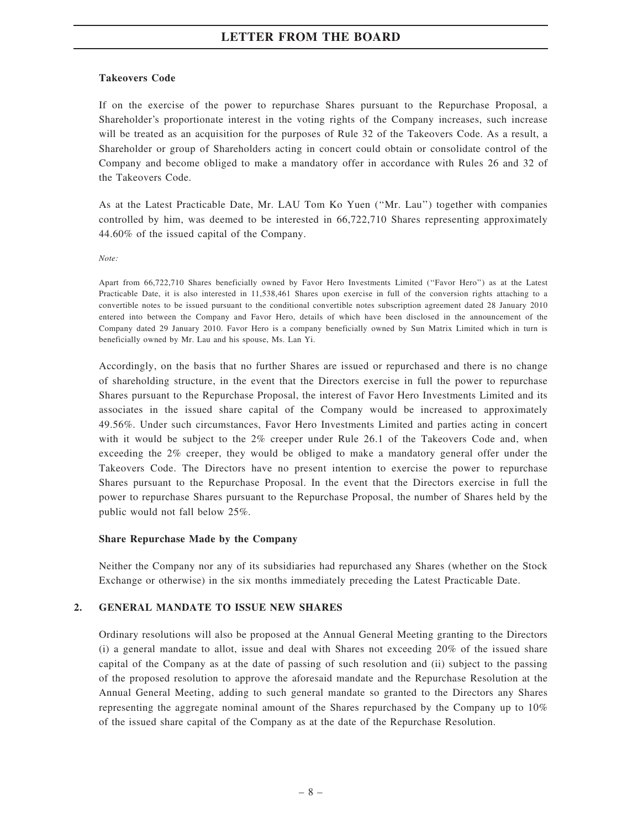#### Takeovers Code

If on the exercise of the power to repurchase Shares pursuant to the Repurchase Proposal, a Shareholder's proportionate interest in the voting rights of the Company increases, such increase will be treated as an acquisition for the purposes of Rule 32 of the Takeovers Code. As a result, a Shareholder or group of Shareholders acting in concert could obtain or consolidate control of the Company and become obliged to make a mandatory offer in accordance with Rules 26 and 32 of the Takeovers Code.

As at the Latest Practicable Date, Mr. LAU Tom Ko Yuen (''Mr. Lau'') together with companies controlled by him, was deemed to be interested in 66,722,710 Shares representing approximately 44.60% of the issued capital of the Company.

Note:

Apart from 66,722,710 Shares beneficially owned by Favor Hero Investments Limited (''Favor Hero'') as at the Latest Practicable Date, it is also interested in 11,538,461 Shares upon exercise in full of the conversion rights attaching to a convertible notes to be issued pursuant to the conditional convertible notes subscription agreement dated 28 January 2010 entered into between the Company and Favor Hero, details of which have been disclosed in the announcement of the Company dated 29 January 2010. Favor Hero is a company beneficially owned by Sun Matrix Limited which in turn is beneficially owned by Mr. Lau and his spouse, Ms. Lan Yi.

Accordingly, on the basis that no further Shares are issued or repurchased and there is no change of shareholding structure, in the event that the Directors exercise in full the power to repurchase Shares pursuant to the Repurchase Proposal, the interest of Favor Hero Investments Limited and its associates in the issued share capital of the Company would be increased to approximately 49.56%. Under such circumstances, Favor Hero Investments Limited and parties acting in concert with it would be subject to the 2% creeper under Rule 26.1 of the Takeovers Code and, when exceeding the 2% creeper, they would be obliged to make a mandatory general offer under the Takeovers Code. The Directors have no present intention to exercise the power to repurchase Shares pursuant to the Repurchase Proposal. In the event that the Directors exercise in full the power to repurchase Shares pursuant to the Repurchase Proposal, the number of Shares held by the public would not fall below 25%.

#### Share Repurchase Made by the Company

Neither the Company nor any of its subsidiaries had repurchased any Shares (whether on the Stock Exchange or otherwise) in the six months immediately preceding the Latest Practicable Date.

#### 2. GENERAL MANDATE TO ISSUE NEW SHARES

Ordinary resolutions will also be proposed at the Annual General Meeting granting to the Directors (i) a general mandate to allot, issue and deal with Shares not exceeding 20% of the issued share capital of the Company as at the date of passing of such resolution and (ii) subject to the passing of the proposed resolution to approve the aforesaid mandate and the Repurchase Resolution at the Annual General Meeting, adding to such general mandate so granted to the Directors any Shares representing the aggregate nominal amount of the Shares repurchased by the Company up to 10% of the issued share capital of the Company as at the date of the Repurchase Resolution.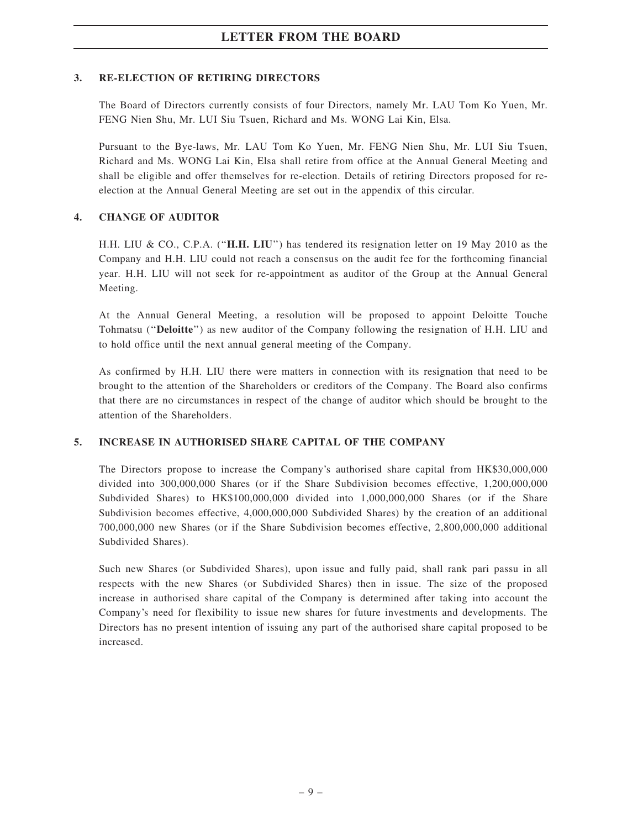### 3. RE-ELECTION OF RETIRING DIRECTORS

The Board of Directors currently consists of four Directors, namely Mr. LAU Tom Ko Yuen, Mr. FENG Nien Shu, Mr. LUI Siu Tsuen, Richard and Ms. WONG Lai Kin, Elsa.

Pursuant to the Bye-laws, Mr. LAU Tom Ko Yuen, Mr. FENG Nien Shu, Mr. LUI Siu Tsuen, Richard and Ms. WONG Lai Kin, Elsa shall retire from office at the Annual General Meeting and shall be eligible and offer themselves for re-election. Details of retiring Directors proposed for reelection at the Annual General Meeting are set out in the appendix of this circular.

### 4. CHANGE OF AUDITOR

H.H. LIU & CO., C.P.A. (''H.H. LIU'') has tendered its resignation letter on 19 May 2010 as the Company and H.H. LIU could not reach a consensus on the audit fee for the forthcoming financial year. H.H. LIU will not seek for re-appointment as auditor of the Group at the Annual General Meeting.

At the Annual General Meeting, a resolution will be proposed to appoint Deloitte Touche Tohmatsu ("Deloitte") as new auditor of the Company following the resignation of H.H. LIU and to hold office until the next annual general meeting of the Company.

As confirmed by H.H. LIU there were matters in connection with its resignation that need to be brought to the attention of the Shareholders or creditors of the Company. The Board also confirms that there are no circumstances in respect of the change of auditor which should be brought to the attention of the Shareholders.

### 5. INCREASE IN AUTHORISED SHARE CAPITAL OF THE COMPANY

The Directors propose to increase the Company's authorised share capital from HK\$30,000,000 divided into 300,000,000 Shares (or if the Share Subdivision becomes effective, 1,200,000,000 Subdivided Shares) to HK\$100,000,000 divided into 1,000,000,000 Shares (or if the Share Subdivision becomes effective, 4,000,000,000 Subdivided Shares) by the creation of an additional 700,000,000 new Shares (or if the Share Subdivision becomes effective, 2,800,000,000 additional Subdivided Shares).

Such new Shares (or Subdivided Shares), upon issue and fully paid, shall rank pari passu in all respects with the new Shares (or Subdivided Shares) then in issue. The size of the proposed increase in authorised share capital of the Company is determined after taking into account the Company's need for flexibility to issue new shares for future investments and developments. The Directors has no present intention of issuing any part of the authorised share capital proposed to be increased.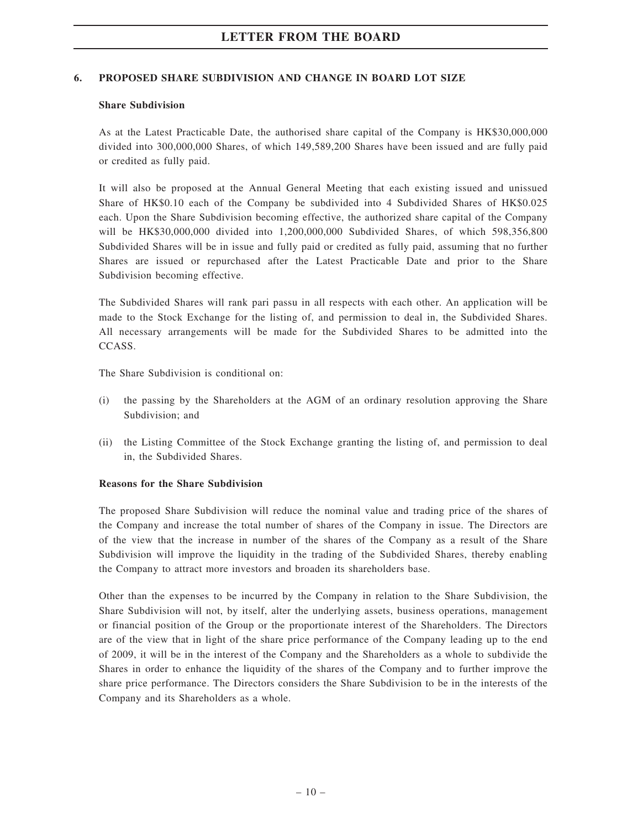### 6. PROPOSED SHARE SUBDIVISION AND CHANGE IN BOARD LOT SIZE

#### Share Subdivision

As at the Latest Practicable Date, the authorised share capital of the Company is HK\$30,000,000 divided into 300,000,000 Shares, of which 149,589,200 Shares have been issued and are fully paid or credited as fully paid.

It will also be proposed at the Annual General Meeting that each existing issued and unissued Share of HK\$0.10 each of the Company be subdivided into 4 Subdivided Shares of HK\$0.025 each. Upon the Share Subdivision becoming effective, the authorized share capital of the Company will be HK\$30,000,000 divided into 1,200,000,000 Subdivided Shares, of which 598,356,800 Subdivided Shares will be in issue and fully paid or credited as fully paid, assuming that no further Shares are issued or repurchased after the Latest Practicable Date and prior to the Share Subdivision becoming effective.

The Subdivided Shares will rank pari passu in all respects with each other. An application will be made to the Stock Exchange for the listing of, and permission to deal in, the Subdivided Shares. All necessary arrangements will be made for the Subdivided Shares to be admitted into the CCASS.

The Share Subdivision is conditional on:

- (i) the passing by the Shareholders at the AGM of an ordinary resolution approving the Share Subdivision; and
- (ii) the Listing Committee of the Stock Exchange granting the listing of, and permission to deal in, the Subdivided Shares.

#### Reasons for the Share Subdivision

The proposed Share Subdivision will reduce the nominal value and trading price of the shares of the Company and increase the total number of shares of the Company in issue. The Directors are of the view that the increase in number of the shares of the Company as a result of the Share Subdivision will improve the liquidity in the trading of the Subdivided Shares, thereby enabling the Company to attract more investors and broaden its shareholders base.

Other than the expenses to be incurred by the Company in relation to the Share Subdivision, the Share Subdivision will not, by itself, alter the underlying assets, business operations, management or financial position of the Group or the proportionate interest of the Shareholders. The Directors are of the view that in light of the share price performance of the Company leading up to the end of 2009, it will be in the interest of the Company and the Shareholders as a whole to subdivide the Shares in order to enhance the liquidity of the shares of the Company and to further improve the share price performance. The Directors considers the Share Subdivision to be in the interests of the Company and its Shareholders as a whole.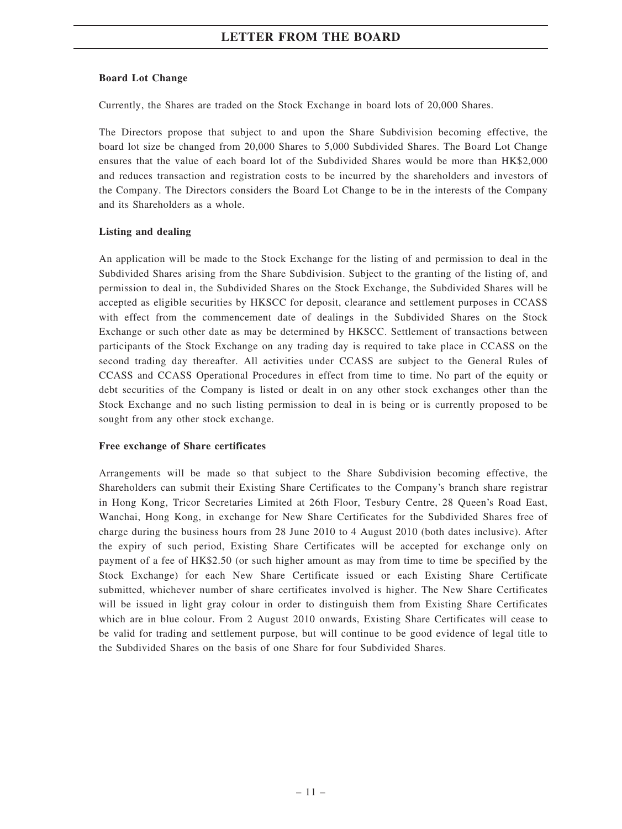#### Board Lot Change

Currently, the Shares are traded on the Stock Exchange in board lots of 20,000 Shares.

The Directors propose that subject to and upon the Share Subdivision becoming effective, the board lot size be changed from 20,000 Shares to 5,000 Subdivided Shares. The Board Lot Change ensures that the value of each board lot of the Subdivided Shares would be more than HK\$2,000 and reduces transaction and registration costs to be incurred by the shareholders and investors of the Company. The Directors considers the Board Lot Change to be in the interests of the Company and its Shareholders as a whole.

### Listing and dealing

An application will be made to the Stock Exchange for the listing of and permission to deal in the Subdivided Shares arising from the Share Subdivision. Subject to the granting of the listing of, and permission to deal in, the Subdivided Shares on the Stock Exchange, the Subdivided Shares will be accepted as eligible securities by HKSCC for deposit, clearance and settlement purposes in CCASS with effect from the commencement date of dealings in the Subdivided Shares on the Stock Exchange or such other date as may be determined by HKSCC. Settlement of transactions between participants of the Stock Exchange on any trading day is required to take place in CCASS on the second trading day thereafter. All activities under CCASS are subject to the General Rules of CCASS and CCASS Operational Procedures in effect from time to time. No part of the equity or debt securities of the Company is listed or dealt in on any other stock exchanges other than the Stock Exchange and no such listing permission to deal in is being or is currently proposed to be sought from any other stock exchange.

#### Free exchange of Share certificates

Arrangements will be made so that subject to the Share Subdivision becoming effective, the Shareholders can submit their Existing Share Certificates to the Company's branch share registrar in Hong Kong, Tricor Secretaries Limited at 26th Floor, Tesbury Centre, 28 Queen's Road East, Wanchai, Hong Kong, in exchange for New Share Certificates for the Subdivided Shares free of charge during the business hours from 28 June 2010 to 4 August 2010 (both dates inclusive). After the expiry of such period, Existing Share Certificates will be accepted for exchange only on payment of a fee of HK\$2.50 (or such higher amount as may from time to time be specified by the Stock Exchange) for each New Share Certificate issued or each Existing Share Certificate submitted, whichever number of share certificates involved is higher. The New Share Certificates will be issued in light gray colour in order to distinguish them from Existing Share Certificates which are in blue colour. From 2 August 2010 onwards, Existing Share Certificates will cease to be valid for trading and settlement purpose, but will continue to be good evidence of legal title to the Subdivided Shares on the basis of one Share for four Subdivided Shares.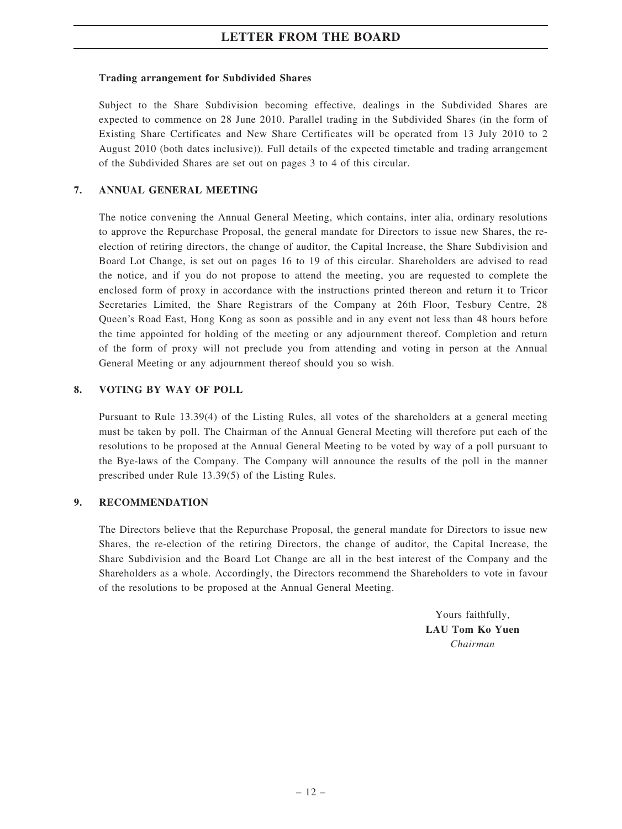### Trading arrangement for Subdivided Shares

Subject to the Share Subdivision becoming effective, dealings in the Subdivided Shares are expected to commence on 28 June 2010. Parallel trading in the Subdivided Shares (in the form of Existing Share Certificates and New Share Certificates will be operated from 13 July 2010 to 2 August 2010 (both dates inclusive)). Full details of the expected timetable and trading arrangement of the Subdivided Shares are set out on pages 3 to 4 of this circular.

### 7. ANNUAL GENERAL MEETING

The notice convening the Annual General Meeting, which contains, inter alia, ordinary resolutions to approve the Repurchase Proposal, the general mandate for Directors to issue new Shares, the reelection of retiring directors, the change of auditor, the Capital Increase, the Share Subdivision and Board Lot Change, is set out on pages 16 to 19 of this circular. Shareholders are advised to read the notice, and if you do not propose to attend the meeting, you are requested to complete the enclosed form of proxy in accordance with the instructions printed thereon and return it to Tricor Secretaries Limited, the Share Registrars of the Company at 26th Floor, Tesbury Centre, 28 Queen's Road East, Hong Kong as soon as possible and in any event not less than 48 hours before the time appointed for holding of the meeting or any adjournment thereof. Completion and return of the form of proxy will not preclude you from attending and voting in person at the Annual General Meeting or any adjournment thereof should you so wish.

### 8. VOTING BY WAY OF POLL

Pursuant to Rule 13.39(4) of the Listing Rules, all votes of the shareholders at a general meeting must be taken by poll. The Chairman of the Annual General Meeting will therefore put each of the resolutions to be proposed at the Annual General Meeting to be voted by way of a poll pursuant to the Bye-laws of the Company. The Company will announce the results of the poll in the manner prescribed under Rule 13.39(5) of the Listing Rules.

#### 9. RECOMMENDATION

The Directors believe that the Repurchase Proposal, the general mandate for Directors to issue new Shares, the re-election of the retiring Directors, the change of auditor, the Capital Increase, the Share Subdivision and the Board Lot Change are all in the best interest of the Company and the Shareholders as a whole. Accordingly, the Directors recommend the Shareholders to vote in favour of the resolutions to be proposed at the Annual General Meeting.

> Yours faithfully, LAU Tom Ko Yuen Chairman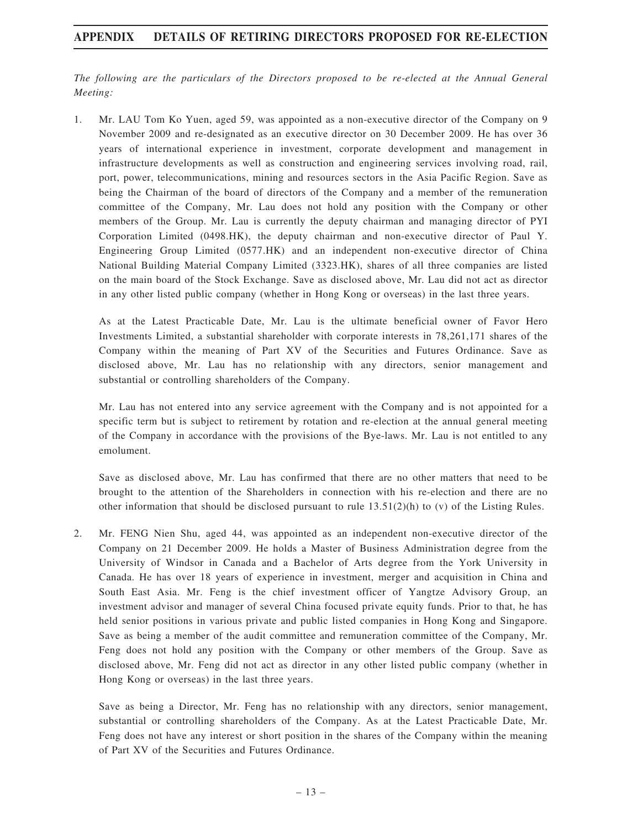## APPENDIX DETAILS OF RETIRING DIRECTORS PROPOSED FOR RE-ELECTION

The following are the particulars of the Directors proposed to be re-elected at the Annual General Meeting:

1. Mr. LAU Tom Ko Yuen, aged 59, was appointed as a non-executive director of the Company on 9 November 2009 and re-designated as an executive director on 30 December 2009. He has over 36 years of international experience in investment, corporate development and management in infrastructure developments as well as construction and engineering services involving road, rail, port, power, telecommunications, mining and resources sectors in the Asia Pacific Region. Save as being the Chairman of the board of directors of the Company and a member of the remuneration committee of the Company, Mr. Lau does not hold any position with the Company or other members of the Group. Mr. Lau is currently the deputy chairman and managing director of PYI Corporation Limited (0498.HK), the deputy chairman and non-executive director of Paul Y. Engineering Group Limited (0577.HK) and an independent non-executive director of China National Building Material Company Limited (3323.HK), shares of all three companies are listed on the main board of the Stock Exchange. Save as disclosed above, Mr. Lau did not act as director in any other listed public company (whether in Hong Kong or overseas) in the last three years.

As at the Latest Practicable Date, Mr. Lau is the ultimate beneficial owner of Favor Hero Investments Limited, a substantial shareholder with corporate interests in 78,261,171 shares of the Company within the meaning of Part XV of the Securities and Futures Ordinance. Save as disclosed above, Mr. Lau has no relationship with any directors, senior management and substantial or controlling shareholders of the Company.

Mr. Lau has not entered into any service agreement with the Company and is not appointed for a specific term but is subject to retirement by rotation and re-election at the annual general meeting of the Company in accordance with the provisions of the Bye-laws. Mr. Lau is not entitled to any emolument.

Save as disclosed above, Mr. Lau has confirmed that there are no other matters that need to be brought to the attention of the Shareholders in connection with his re-election and there are no other information that should be disclosed pursuant to rule  $13.51(2)(h)$  to (v) of the Listing Rules.

2. Mr. FENG Nien Shu, aged 44, was appointed as an independent non-executive director of the Company on 21 December 2009. He holds a Master of Business Administration degree from the University of Windsor in Canada and a Bachelor of Arts degree from the York University in Canada. He has over 18 years of experience in investment, merger and acquisition in China and South East Asia. Mr. Feng is the chief investment officer of Yangtze Advisory Group, an investment advisor and manager of several China focused private equity funds. Prior to that, he has held senior positions in various private and public listed companies in Hong Kong and Singapore. Save as being a member of the audit committee and remuneration committee of the Company, Mr. Feng does not hold any position with the Company or other members of the Group. Save as disclosed above, Mr. Feng did not act as director in any other listed public company (whether in Hong Kong or overseas) in the last three years.

Save as being a Director, Mr. Feng has no relationship with any directors, senior management, substantial or controlling shareholders of the Company. As at the Latest Practicable Date, Mr. Feng does not have any interest or short position in the shares of the Company within the meaning of Part XV of the Securities and Futures Ordinance.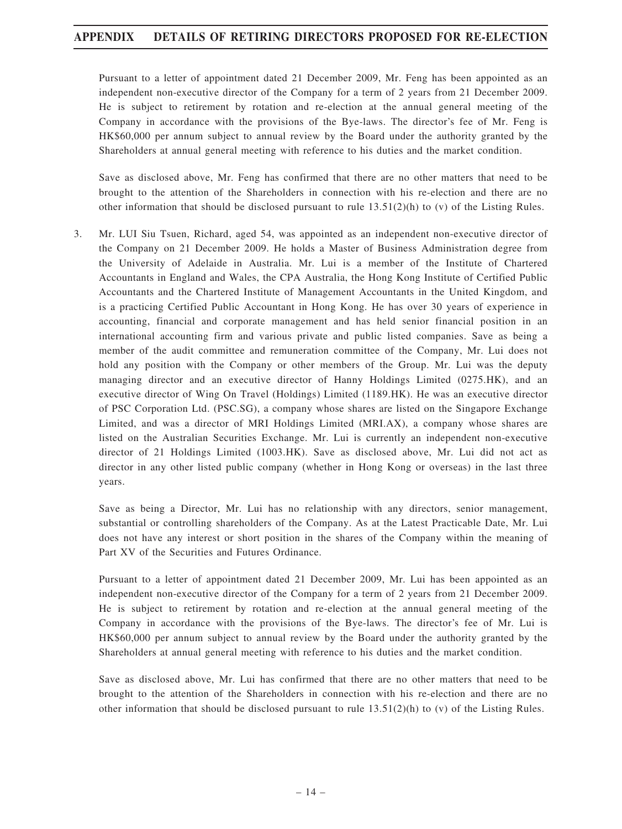## APPENDIX DETAILS OF RETIRING DIRECTORS PROPOSED FOR RE-ELECTION

Pursuant to a letter of appointment dated 21 December 2009, Mr. Feng has been appointed as an independent non-executive director of the Company for a term of 2 years from 21 December 2009. He is subject to retirement by rotation and re-election at the annual general meeting of the Company in accordance with the provisions of the Bye-laws. The director's fee of Mr. Feng is HK\$60,000 per annum subject to annual review by the Board under the authority granted by the Shareholders at annual general meeting with reference to his duties and the market condition.

Save as disclosed above, Mr. Feng has confirmed that there are no other matters that need to be brought to the attention of the Shareholders in connection with his re-election and there are no other information that should be disclosed pursuant to rule  $13.51(2)(h)$  to (v) of the Listing Rules.

3. Mr. LUI Siu Tsuen, Richard, aged 54, was appointed as an independent non-executive director of the Company on 21 December 2009. He holds a Master of Business Administration degree from the University of Adelaide in Australia. Mr. Lui is a member of the Institute of Chartered Accountants in England and Wales, the CPA Australia, the Hong Kong Institute of Certified Public Accountants and the Chartered Institute of Management Accountants in the United Kingdom, and is a practicing Certified Public Accountant in Hong Kong. He has over 30 years of experience in accounting, financial and corporate management and has held senior financial position in an international accounting firm and various private and public listed companies. Save as being a member of the audit committee and remuneration committee of the Company, Mr. Lui does not hold any position with the Company or other members of the Group. Mr. Lui was the deputy managing director and an executive director of Hanny Holdings Limited (0275.HK), and an executive director of Wing On Travel (Holdings) Limited (1189.HK). He was an executive director of PSC Corporation Ltd. (PSC.SG), a company whose shares are listed on the Singapore Exchange Limited, and was a director of MRI Holdings Limited (MRI.AX), a company whose shares are listed on the Australian Securities Exchange. Mr. Lui is currently an independent non-executive director of 21 Holdings Limited (1003.HK). Save as disclosed above, Mr. Lui did not act as director in any other listed public company (whether in Hong Kong or overseas) in the last three years.

Save as being a Director, Mr. Lui has no relationship with any directors, senior management, substantial or controlling shareholders of the Company. As at the Latest Practicable Date, Mr. Lui does not have any interest or short position in the shares of the Company within the meaning of Part XV of the Securities and Futures Ordinance.

Pursuant to a letter of appointment dated 21 December 2009, Mr. Lui has been appointed as an independent non-executive director of the Company for a term of 2 years from 21 December 2009. He is subject to retirement by rotation and re-election at the annual general meeting of the Company in accordance with the provisions of the Bye-laws. The director's fee of Mr. Lui is HK\$60,000 per annum subject to annual review by the Board under the authority granted by the Shareholders at annual general meeting with reference to his duties and the market condition.

Save as disclosed above, Mr. Lui has confirmed that there are no other matters that need to be brought to the attention of the Shareholders in connection with his re-election and there are no other information that should be disclosed pursuant to rule  $13.51(2)(h)$  to (v) of the Listing Rules.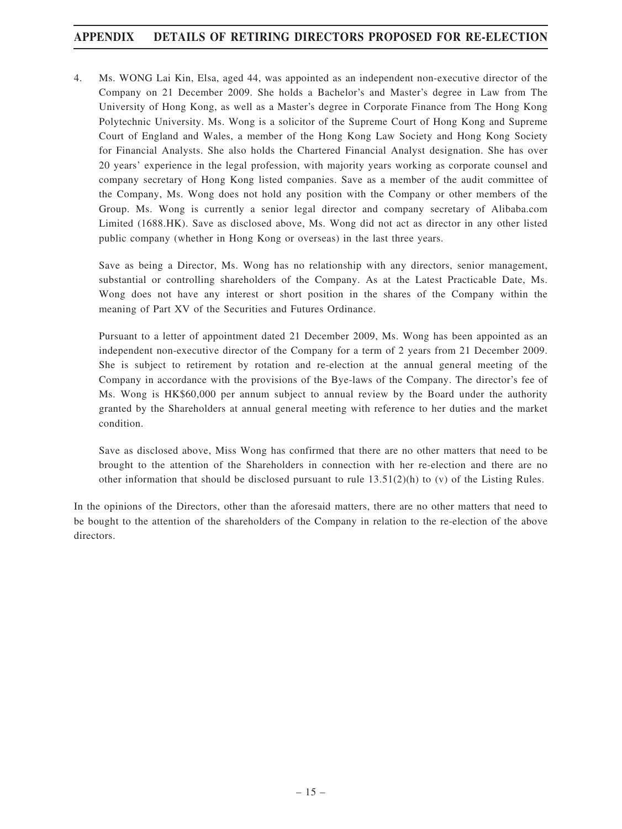## APPENDIX DETAILS OF RETIRING DIRECTORS PROPOSED FOR RE-ELECTION

4. Ms. WONG Lai Kin, Elsa, aged 44, was appointed as an independent non-executive director of the Company on 21 December 2009. She holds a Bachelor's and Master's degree in Law from The University of Hong Kong, as well as a Master's degree in Corporate Finance from The Hong Kong Polytechnic University. Ms. Wong is a solicitor of the Supreme Court of Hong Kong and Supreme Court of England and Wales, a member of the Hong Kong Law Society and Hong Kong Society for Financial Analysts. She also holds the Chartered Financial Analyst designation. She has over 20 years' experience in the legal profession, with majority years working as corporate counsel and company secretary of Hong Kong listed companies. Save as a member of the audit committee of the Company, Ms. Wong does not hold any position with the Company or other members of the Group. Ms. Wong is currently a senior legal director and company secretary of Alibaba.com Limited (1688.HK). Save as disclosed above, Ms. Wong did not act as director in any other listed public company (whether in Hong Kong or overseas) in the last three years.

Save as being a Director, Ms. Wong has no relationship with any directors, senior management, substantial or controlling shareholders of the Company. As at the Latest Practicable Date, Ms. Wong does not have any interest or short position in the shares of the Company within the meaning of Part XV of the Securities and Futures Ordinance.

Pursuant to a letter of appointment dated 21 December 2009, Ms. Wong has been appointed as an independent non-executive director of the Company for a term of 2 years from 21 December 2009. She is subject to retirement by rotation and re-election at the annual general meeting of the Company in accordance with the provisions of the Bye-laws of the Company. The director's fee of Ms. Wong is HK\$60,000 per annum subject to annual review by the Board under the authority granted by the Shareholders at annual general meeting with reference to her duties and the market condition.

Save as disclosed above, Miss Wong has confirmed that there are no other matters that need to be brought to the attention of the Shareholders in connection with her re-election and there are no other information that should be disclosed pursuant to rule  $13.51(2)(h)$  to (v) of the Listing Rules.

In the opinions of the Directors, other than the aforesaid matters, there are no other matters that need to be bought to the attention of the shareholders of the Company in relation to the re-election of the above directors.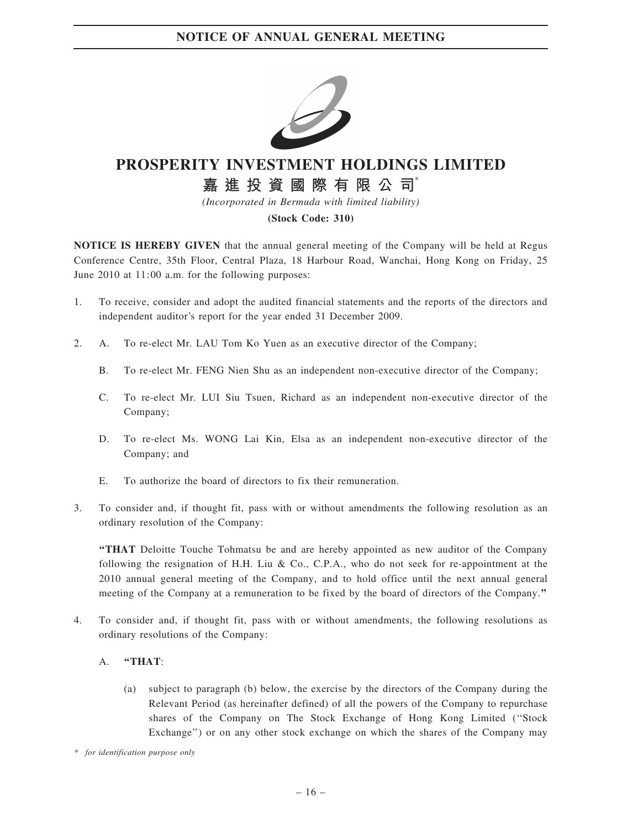

# PROSPERITY INVESTMENT HOLDINGS LIMITED

# 嘉 進 投 資 國 際 有 限 公 司

(Incorporated in Bermuda with limited liability)

### (Stock Code: 310)

NOTICE IS HEREBY GIVEN that the annual general meeting of the Company will be held at Regus Conference Centre, 35th Floor, Central Plaza, 18 Harbour Road, Wanchai, Hong Kong on Friday, 25 June 2010 at 11:00 a.m. for the following purposes:

- 1. To receive, consider and adopt the audited financial statements and the reports of the directors and independent auditor's report for the year ended 31 December 2009.
- 2. A. To re-elect Mr. LAU Tom Ko Yuen as an executive director of the Company;
	- B. To re-elect Mr. FENG Nien Shu as an independent non-executive director of the Company;
	- C. To re-elect Mr. LUI Siu Tsuen, Richard as an independent non-executive director of the Company;
	- D. To re-elect Ms. WONG Lai Kin, Elsa as an independent non-executive director of the Company; and
	- E. To authorize the board of directors to fix their remuneration.
- 3. To consider and, if thought fit, pass with or without amendments the following resolution as an ordinary resolution of the Company:

''THAT Deloitte Touche Tohmatsu be and are hereby appointed as new auditor of the Company following the resignation of H.H. Liu & Co., C.P.A., who do not seek for re-appointment at the 2010 annual general meeting of the Company, and to hold office until the next annual general meeting of the Company at a remuneration to be fixed by the board of directors of the Company.''

4. To consider and, if thought fit, pass with or without amendments, the following resolutions as ordinary resolutions of the Company:

### A. "THAT:

(a) subject to paragraph (b) below, the exercise by the directors of the Company during the Relevant Period (as hereinafter defined) of all the powers of the Company to repurchase shares of the Company on The Stock Exchange of Hong Kong Limited (''Stock Exchange'') or on any other stock exchange on which the shares of the Company may

\* for identification purpose only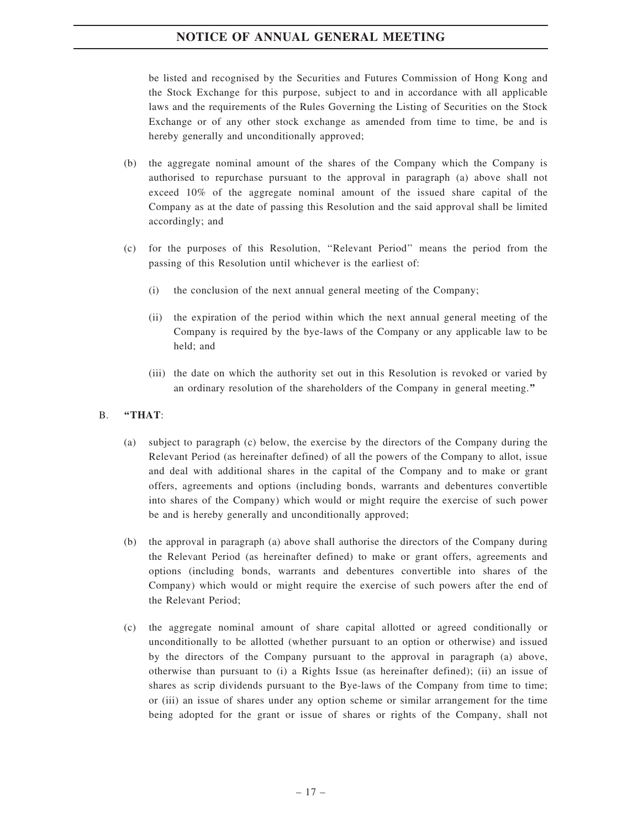# NOTICE OF ANNUAL GENERAL MEETING

be listed and recognised by the Securities and Futures Commission of Hong Kong and the Stock Exchange for this purpose, subject to and in accordance with all applicable laws and the requirements of the Rules Governing the Listing of Securities on the Stock Exchange or of any other stock exchange as amended from time to time, be and is hereby generally and unconditionally approved;

- (b) the aggregate nominal amount of the shares of the Company which the Company is authorised to repurchase pursuant to the approval in paragraph (a) above shall not exceed 10% of the aggregate nominal amount of the issued share capital of the Company as at the date of passing this Resolution and the said approval shall be limited accordingly; and
- (c) for the purposes of this Resolution, ''Relevant Period'' means the period from the passing of this Resolution until whichever is the earliest of:
	- (i) the conclusion of the next annual general meeting of the Company;
	- (ii) the expiration of the period within which the next annual general meeting of the Company is required by the bye-laws of the Company or any applicable law to be held; and
	- (iii) the date on which the authority set out in this Resolution is revoked or varied by an ordinary resolution of the shareholders of the Company in general meeting.''

### B. "THAT:

- (a) subject to paragraph (c) below, the exercise by the directors of the Company during the Relevant Period (as hereinafter defined) of all the powers of the Company to allot, issue and deal with additional shares in the capital of the Company and to make or grant offers, agreements and options (including bonds, warrants and debentures convertible into shares of the Company) which would or might require the exercise of such power be and is hereby generally and unconditionally approved;
- (b) the approval in paragraph (a) above shall authorise the directors of the Company during the Relevant Period (as hereinafter defined) to make or grant offers, agreements and options (including bonds, warrants and debentures convertible into shares of the Company) which would or might require the exercise of such powers after the end of the Relevant Period;
- (c) the aggregate nominal amount of share capital allotted or agreed conditionally or unconditionally to be allotted (whether pursuant to an option or otherwise) and issued by the directors of the Company pursuant to the approval in paragraph (a) above, otherwise than pursuant to (i) a Rights Issue (as hereinafter defined); (ii) an issue of shares as scrip dividends pursuant to the Bye-laws of the Company from time to time; or (iii) an issue of shares under any option scheme or similar arrangement for the time being adopted for the grant or issue of shares or rights of the Company, shall not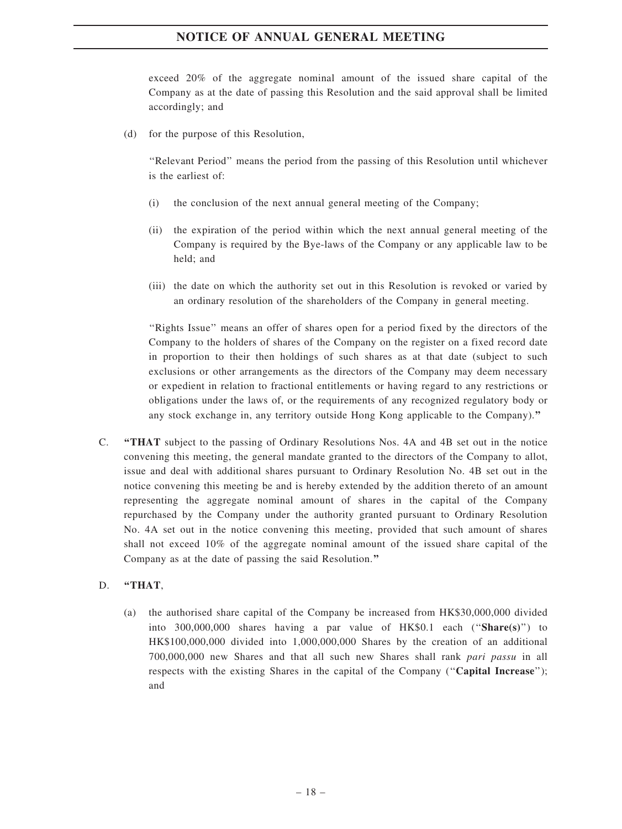# NOTICE OF ANNUAL GENERAL MEETING

exceed 20% of the aggregate nominal amount of the issued share capital of the Company as at the date of passing this Resolution and the said approval shall be limited accordingly; and

(d) for the purpose of this Resolution,

''Relevant Period'' means the period from the passing of this Resolution until whichever is the earliest of:

- (i) the conclusion of the next annual general meeting of the Company;
- (ii) the expiration of the period within which the next annual general meeting of the Company is required by the Bye-laws of the Company or any applicable law to be held; and
- (iii) the date on which the authority set out in this Resolution is revoked or varied by an ordinary resolution of the shareholders of the Company in general meeting.

''Rights Issue'' means an offer of shares open for a period fixed by the directors of the Company to the holders of shares of the Company on the register on a fixed record date in proportion to their then holdings of such shares as at that date (subject to such exclusions or other arrangements as the directors of the Company may deem necessary or expedient in relation to fractional entitlements or having regard to any restrictions or obligations under the laws of, or the requirements of any recognized regulatory body or any stock exchange in, any territory outside Hong Kong applicable to the Company).''

C. ''THAT subject to the passing of Ordinary Resolutions Nos. 4A and 4B set out in the notice convening this meeting, the general mandate granted to the directors of the Company to allot, issue and deal with additional shares pursuant to Ordinary Resolution No. 4B set out in the notice convening this meeting be and is hereby extended by the addition thereto of an amount representing the aggregate nominal amount of shares in the capital of the Company repurchased by the Company under the authority granted pursuant to Ordinary Resolution No. 4A set out in the notice convening this meeting, provided that such amount of shares shall not exceed 10% of the aggregate nominal amount of the issued share capital of the Company as at the date of passing the said Resolution.''

#### D. "THAT,

(a) the authorised share capital of the Company be increased from HK\$30,000,000 divided into  $300,000,000$  shares having a par value of HK\$0.1 each ("Share(s)") to HK\$100,000,000 divided into 1,000,000,000 Shares by the creation of an additional 700,000,000 new Shares and that all such new Shares shall rank pari passu in all respects with the existing Shares in the capital of the Company ("Capital Increase"); and